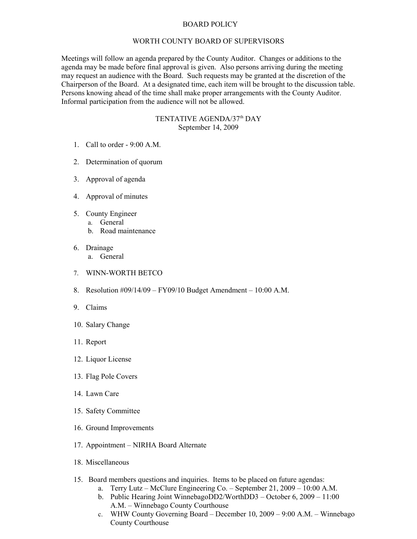## BOARD POLICY

## WORTH COUNTY BOARD OF SUPERVISORS

Meetings will follow an agenda prepared by the County Auditor. Changes or additions to the agenda may be made before final approval is given. Also persons arriving during the meeting may request an audience with the Board. Such requests may be granted at the discretion of the Chairperson of the Board. At a designated time, each item will be brought to the discussion table. Persons knowing ahead of the time shall make proper arrangements with the County Auditor. Informal participation from the audience will not be allowed.

## TENTATIVE AGENDA/37<sup>th</sup> DAY September 14, 2009

- 1. Call to order 9:00 A.M.
- 2. Determination of quorum
- 3. Approval of agenda
- 4. Approval of minutes
- 5. County Engineer
	- a. General
	- b. Road maintenance
- 6. Drainage
	- a. General
- 7. WINN-WORTH BETCO
- 8. Resolution #09/14/09 FY09/10 Budget Amendment 10:00 A.M.
- 9. Claims
- 10. Salary Change
- 11. Report
- 12. Liquor License
- 13. Flag Pole Covers
- 14. Lawn Care
- 15. Safety Committee
- 16. Ground Improvements
- 17. Appointment NIRHA Board Alternate
- 18. Miscellaneous
- 15. Board members questions and inquiries. Items to be placed on future agendas:
	- a. Terry Lutz McClure Engineering Co. September 21, 2009 10:00 A.M.
	- b. Public Hearing Joint WinnebagoDD2/WorthDD3 October 6, 2009 11:00 A.M. – Winnebago County Courthouse
	- c. WHW County Governing Board December 10, 2009 9:00 A.M. Winnebago County Courthouse